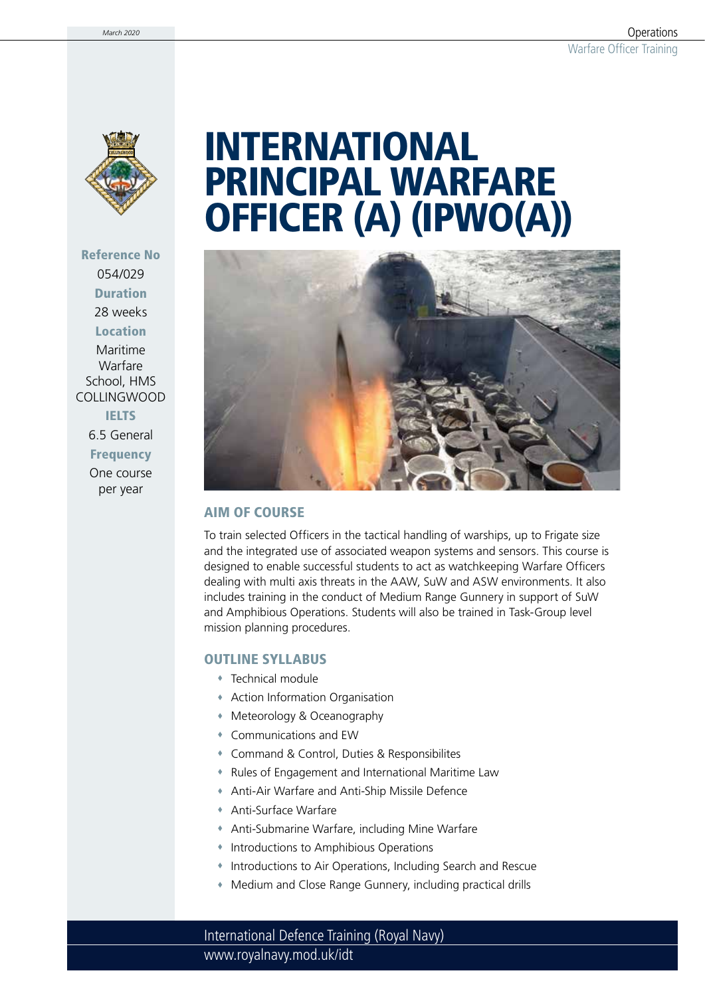

Reference No 054/029 Duration 28 weeks **Location** Maritime Warfare School, HMS COLLINGWOOD **IELTS** 6.5 General

**Frequency** One course per year

# INTERNATIONAL PRINCIPAL WARFARE OFFICER (A) (IPWO(A))



### AIM OF COURSE

To train selected Officers in the tactical handling of warships, up to Frigate size and the integrated use of associated weapon systems and sensors. This course is designed to enable successful students to act as watchkeeping Warfare Officers dealing with multi axis threats in the AAW, SuW and ASW environments. It also includes training in the conduct of Medium Range Gunnery in support of SuW and Amphibious Operations. Students will also be trained in Task-Group level mission planning procedures.

#### OUTLINE SYLLABUS

- Technical module
- Action Information Organisation
- Meteorology & Oceanography
- Communications and EW
- Command & Control, Duties & Responsibilites
- Rules of Engagement and International Maritime Law
- Anti-Air Warfare and Anti-Ship Missile Defence
- Anti-Surface Warfare
- Anti-Submarine Warfare, including Mine Warfare
- Introductions to Amphibious Operations
- Introductions to Air Operations, Including Search and Rescue
- Medium and Close Range Gunnery, including practical drills

www.royalnavy.mod.uk/idt International Defence Training (Royal Navy)